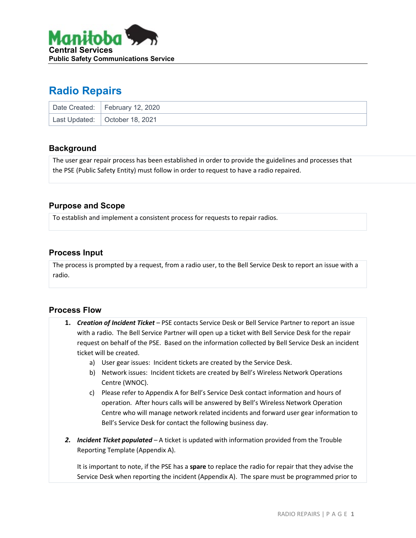

# **Radio Repairs**

| Date Created: February 12, 2020  |
|----------------------------------|
| Last Updated:   October 18, 2021 |

## **Background**

The user gear repair process has been established in order to provide the guidelines and processes that the PSE (Public Safety Entity) must follow in order to request to have a radio repaired.

# **Purpose and Scope**

To establish and implement a consistent process for requests to repair radios.

## **Process Input**

The process is prompted by a request, from a radio user, to the Bell Service Desk to report an issue with a radio.

# **Process Flow**

- **1.** *Creation of Incident Ticket –* PSE contacts Service Desk or Bell Service Partner to report an issue with a radio. The Bell Service Partner will open up a ticket with Bell Service Desk for the repair request on behalf of the PSE. Based on the information collected by Bell Service Desk an incident ticket will be created.
	- a) User gear issues: Incident tickets are created by the Service Desk.
	- b) Network issues: Incident tickets are created by Bell's Wireless Network Operations Centre (WNOC).
	- c) Please refer to Appendix A for Bell's Service Desk contact information and hours of operation. After hours calls will be answered by Bell's Wireless Network Operation Centre who will manage network related incidents and forward user gear information to Bell's Service Desk for contact the following business day.
- *2. Incident Ticket populated –* A ticket is updated with information provided from the Trouble Reporting Template (Appendix A).

It is important to note, if the PSE has a **spare** to replace the radio for repair that they advise the Service Desk when reporting the incident (Appendix A). The spare must be programmed prior to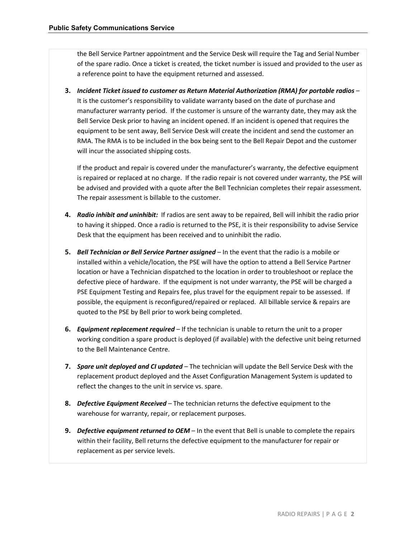the Bell Service Partner appointment and the Service Desk will require the Tag and Serial Number of the spare radio. Once a ticket is created, the ticket number is issued and provided to the user as a reference point to have the equipment returned and assessed.

**3.** *Incident Ticket issued to customer as Return Material Authorization (RMA) for portable radios –* It is the customer's responsibility to validate warranty based on the date of purchase and manufacturer warranty period. If the customer is unsure of the warranty date, they may ask the Bell Service Desk prior to having an incident opened. If an incident is opened that requires the equipment to be sent away, Bell Service Desk will create the incident and send the customer an RMA. The RMA is to be included in the box being sent to the Bell Repair Depot and the customer will incur the associated shipping costs.

If the product and repair is covered under the manufacturer's warranty, the defective equipment is repaired or replaced at no charge. If the radio repair is not covered under warranty, the PSE will be advised and provided with a quote after the Bell Technician completes their repair assessment. The repair assessment is billable to the customer.

- **4.** *Radio inhibit and uninhibit:* If radios are sent away to be repaired, Bell will inhibit the radio prior to having it shipped. Once a radio is returned to the PSE, it is their responsibility to advise Service Desk that the equipment has been received and to uninhibit the radio.
- **5.** *Bell Technician or Bell Service Partner assigned –* In the event that the radio is a mobile or installed within a vehicle/location, the PSE will have the option to attend a Bell Service Partner location or have a Technician dispatched to the location in order to troubleshoot or replace the defective piece of hardware. If the equipment is not under warranty, the PSE will be charged a PSE Equipment Testing and Repairs fee, plus travel for the equipment repair to be assessed. If possible, the equipment is reconfigured/repaired or replaced. All billable service & repairs are quoted to the PSE by Bell prior to work being completed.
- **6.** *Equipment replacement required –* If the technician is unable to return the unit to a proper working condition a spare product is deployed (if available) with the defective unit being returned to the Bell Maintenance Centre.
- **7.** *Spare unit deployed and CI updated –* The technician will update the Bell Service Desk with the replacement product deployed and the Asset Configuration Management System is updated to reflect the changes to the unit in service vs. spare.
- **8.** *Defective Equipment Received –* The technician returns the defective equipment to the warehouse for warranty, repair, or replacement purposes.
- **9.** *Defective equipment returned to OEM –* In the event that Bell is unable to complete the repairs within their facility, Bell returns the defective equipment to the manufacturer for repair or replacement as per service levels.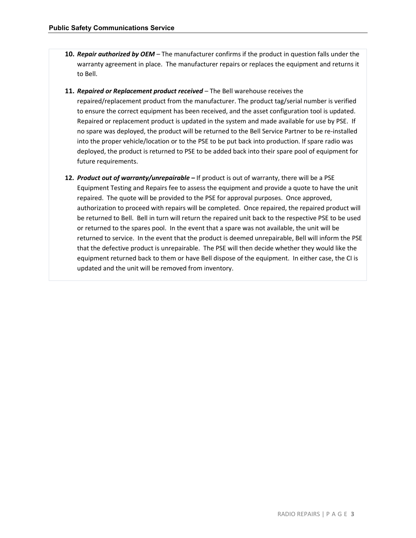- **10.** *Repair authorized by OEM –* The manufacturer confirms if the product in question falls under the warranty agreement in place. The manufacturer repairs or replaces the equipment and returns it to Bell.
- **11.** *Repaired or Replacement product received –* The Bell warehouse receives the repaired/replacement product from the manufacturer. The product tag/serial number is verified to ensure the correct equipment has been received, and the asset configuration tool is updated. Repaired or replacement product is updated in the system and made available for use by PSE. If no spare was deployed, the product will be returned to the Bell Service Partner to be re-installed into the proper vehicle/location or to the PSE to be put back into production. If spare radio was deployed, the product is returned to PSE to be added back into their spare pool of equipment for future requirements.
- **12.** *Product out of warranty/unrepairable –* If product is out of warranty, there will be a PSE Equipment Testing and Repairs fee to assess the equipment and provide a quote to have the unit repaired. The quote will be provided to the PSE for approval purposes. Once approved, authorization to proceed with repairs will be completed. Once repaired, the repaired product will be returned to Bell. Bell in turn will return the repaired unit back to the respective PSE to be used or returned to the spares pool. In the event that a spare was not available, the unit will be returned to service. In the event that the product is deemed unrepairable, Bell will inform the PSE that the defective product is unrepairable. The PSE will then decide whether they would like the equipment returned back to them or have Bell dispose of the equipment. In either case, the CI is updated and the unit will be removed from inventory.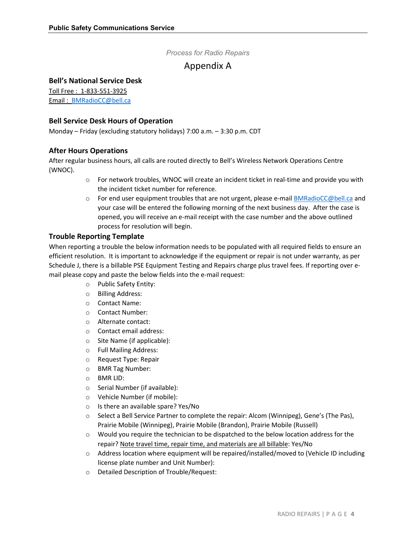### *Process for Radio Repairs*

# Appendix A

### **Bell's National Service Desk**

Toll Free : 1-833-551-3925 Email : [BMRadioCC@bell.ca](mailto:BMRadioCC@bell.ca)

### **Bell Service Desk Hours of Operation**

Monday – Friday (excluding statutory holidays) 7:00 a.m. – 3:30 p.m. CDT

### **After Hours Operations**

After regular business hours, all calls are routed directly to Bell's Wireless Network Operations Centre (WNOC).

- o For network troubles, WNOC will create an incident ticket in real-time and provide you with the incident ticket number for reference.
- o For end user equipment troubles that are not urgent, please e-mai[l BMRadioCC@bell.ca](mailto:BMRadioCC@bell.ca) and your case will be entered the following morning of the next business day. After the case is opened, you will receive an e-mail receipt with the case number and the above outlined process for resolution will begin.

### **Trouble Reporting Template**

When reporting a trouble the below information needs to be populated with all required fields to ensure an efficient resolution. It is important to acknowledge if the equipment or repair is not under warranty, as per Schedule J, there is a billable PSE Equipment Testing and Repairs charge plus travel fees. If reporting over email please copy and paste the below fields into the e-mail request:

- o Public Safety Entity:
- o Billing Address:
- o Contact Name:
- o Contact Number:
- o Alternate contact:
- o Contact email address:
- o Site Name (if applicable):
- o Full Mailing Address:
- o Request Type: Repair
- o BMR Tag Number:
- o BMR LID:
- o Serial Number (if available):
- o Vehicle Number (if mobile):
- o Is there an available spare? Yes/No
- o Select a Bell Service Partner to complete the repair: Alcom (Winnipeg), Gene's (The Pas), Prairie Mobile (Winnipeg), Prairie Mobile (Brandon), Prairie Mobile (Russell)
- $\circ$  Would you require the technician to be dispatched to the below location address for the repair? Note travel time, repair time, and materials are all billable: Yes/No
- $\circ$  Address location where equipment will be repaired/installed/moved to (Vehicle ID including license plate number and Unit Number):
- o Detailed Description of Trouble/Request: